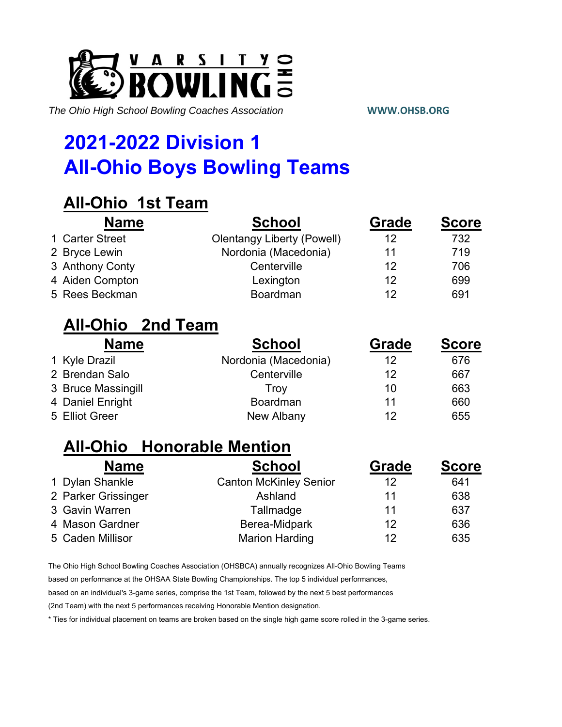

# **2021-2022 Division 1 All-Ohio Boys Bowling Teams**

### **All-Ohio 1st Team**

| <b>Name</b>     | <b>School</b>                     | Grade | <b>Score</b> |
|-----------------|-----------------------------------|-------|--------------|
| 1 Carter Street | <b>Olentangy Liberty (Powell)</b> | 12    | 732          |
| 2 Bryce Lewin   | Nordonia (Macedonia)              | 11    | 719          |
| 3 Anthony Conty | Centerville                       | 12    | 706          |
| 4 Aiden Compton | Lexington                         | 12    | 699          |
| 5 Rees Beckman  | Boardman                          | 12    | 691          |

#### **All-Ohio 2nd Team**

| <b>Name</b>        | <b>School</b>        | Grade | <b>Score</b> |
|--------------------|----------------------|-------|--------------|
| 1 Kyle Drazil      | Nordonia (Macedonia) | 12    | 676          |
| 2 Brendan Salo     | Centerville          | 12    | 667          |
| 3 Bruce Massingill | Trov                 | 10    | 663          |
| 4 Daniel Enright   | Boardman             | 11    | 660          |
| 5 Elliot Greer     | New Albany           | 12    | 655          |

### **All-Ohio Honorable Mention**

| <b>Name</b>         | <b>School</b>                 | <b>Grade</b> | <b>Score</b> |
|---------------------|-------------------------------|--------------|--------------|
| 1 Dylan Shankle     | <b>Canton McKinley Senior</b> | 12           | 641          |
| 2 Parker Grissinger | Ashland                       | 11           | 638          |
| 3 Gavin Warren      | Tallmadge                     | 11           | 637          |
| 4 Mason Gardner     | Berea-Midpark                 | 12           | 636          |
| 5 Caden Millisor    | <b>Marion Harding</b>         | 12           | 635          |

The Ohio High School Bowling Coaches Association (OHSBCA) annually recognizes All-Ohio Bowling Teams

based on performance at the OHSAA State Bowling Championships. The top 5 individual performances,

based on an individual's 3-game series, comprise the 1st Team, followed by the next 5 best performances

(2nd Team) with the next 5 performances receiving Honorable Mention designation.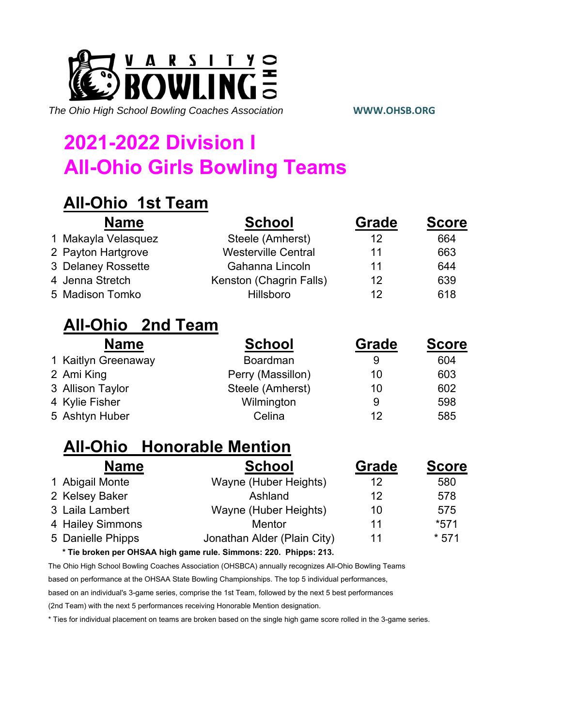

# **2021-2022 Division I All-Ohio Girls Bowling Teams**

## **All-Ohio 1st Team**

| <b>Name</b>         | <b>School</b>              | <b>Grade</b> | <b>Score</b> |
|---------------------|----------------------------|--------------|--------------|
| 1 Makayla Velasquez | Steele (Amherst)           | 12           | 664          |
| 2 Payton Hartgrove  | <b>Westerville Central</b> | 11           | 663          |
| 3 Delaney Rossette  | Gahanna Lincoln            | 11           | 644          |
| 4 Jenna Stretch     | Kenston (Chagrin Falls)    | 12           | 639          |
| 5 Madison Tomko     | <b>Hillsboro</b>           | 12           | 618          |

### **All-Ohio 2nd Team**

| <b>Name</b>         | <b>School</b>     | <b>Grade</b> | <b>Score</b> |
|---------------------|-------------------|--------------|--------------|
| 1 Kaitlyn Greenaway | <b>Boardman</b>   | 9            | 604          |
| 2 Ami King          | Perry (Massillon) | 10           | 603          |
| 3 Allison Taylor    | Steele (Amherst)  | 10           | 602          |
| 4 Kylie Fisher      | Wilmington        | 9            | 598          |
| 5 Ashtyn Huber      | Celina            | 12           | 585          |

### **All-Ohio Honorable Mention**

| <b>Name</b>       | <b>School</b>               | Grade | <b>Score</b> |
|-------------------|-----------------------------|-------|--------------|
| 1 Abigail Monte   | Wayne (Huber Heights)       | 12    | 580          |
| 2 Kelsey Baker    | Ashland                     | 12    | 578          |
| 3 Laila Lambert   | Wayne (Huber Heights)       | 10    | 575          |
| 4 Hailey Simmons  | <b>Mentor</b>               | 11    | $*571$       |
| 5 Danielle Phipps | Jonathan Alder (Plain City) | 11    | $*571$       |

**\* Tie broken per OHSAA high game rule. Simmons: 220. Phipps: 213.**

The Ohio High School Bowling Coaches Association (OHSBCA) annually recognizes All-Ohio Bowling Teams

based on performance at the OHSAA State Bowling Championships. The top 5 individual performances,

based on an individual's 3-game series, comprise the 1st Team, followed by the next 5 best performances

(2nd Team) with the next 5 performances receiving Honorable Mention designation.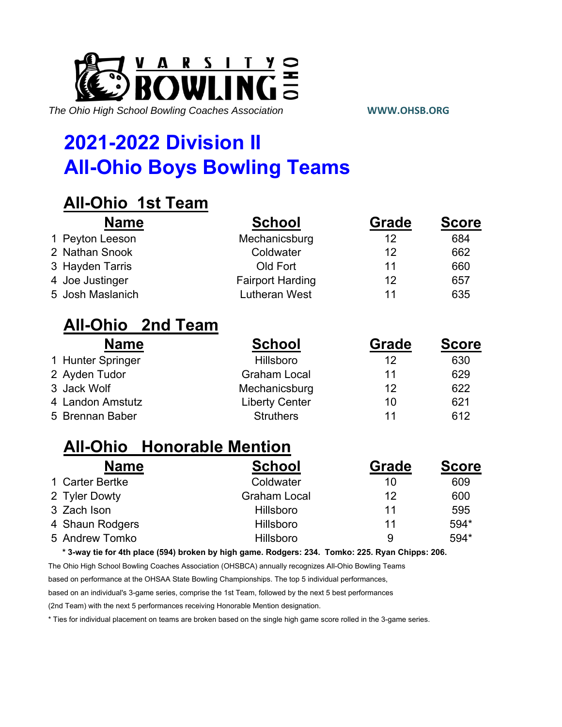

## **2021-2022 Division II All-Ohio Boys Bowling Teams**

## **All-Ohio 1st Team**

| <b>Name</b>                       | <b>School</b>           | Grade | <b>Score</b> |
|-----------------------------------|-------------------------|-------|--------------|
| 1 Peyton Leeson                   | Mechanicsburg           | 12    | 684          |
| 2 Nathan Snook                    | Coldwater               | 12    | 662          |
| 3 Hayden Tarris                   | Old Fort                | 11    | 660          |
| 4 Joe Justinger                   | <b>Fairport Harding</b> | 12    | 657          |
| 5 Josh Maslanich                  | <b>Lutheran West</b>    | 11    | 635          |
| <b>All-Ohio</b> 2nd Team          |                         |       |              |
| <b>Name</b>                       | <b>School</b>           | Grade | <b>Score</b> |
| 1 Hunter Springer                 | Hillsboro               | 12    | 630          |
| 2 Ayden Tudor                     | <b>Graham Local</b>     | 11    | 629          |
| 3 Jack Wolf                       | Mechanicsburg           | 12    | 622          |
| 4 Landon Amstutz                  | <b>Liberty Center</b>   | 10    | 621          |
| 5 Brennan Baber                   | <b>Struthers</b>        | 11    | 612          |
| <b>All-Ohio</b> Honorable Mention |                         |       |              |
| ND.                               |                         |       |              |

| <b>Name</b>     | <b>School</b>       | <b>Grade</b> | <b>Score</b> |
|-----------------|---------------------|--------------|--------------|
| 1 Carter Bertke | Coldwater           | 10           | 609          |
| 2 Tyler Dowty   | <b>Graham Local</b> | 12           | 600          |
| 3 Zach Ison     | Hillsboro           | 11           | 595          |
| 4 Shaun Rodgers | Hillsboro           | 11           | 594*         |
| 5 Andrew Tomko  | Hillsboro           | 9            | 594*         |

**\* 3-way tie for 4th place (594) broken by high game. Rodgers: 234. Tomko: 225. Ryan Chipps: 206.**

The Ohio High School Bowling Coaches Association (OHSBCA) annually recognizes All-Ohio Bowling Teams

based on performance at the OHSAA State Bowling Championships. The top 5 individual performances,

based on an individual's 3-game series, comprise the 1st Team, followed by the next 5 best performances

(2nd Team) with the next 5 performances receiving Honorable Mention designation.